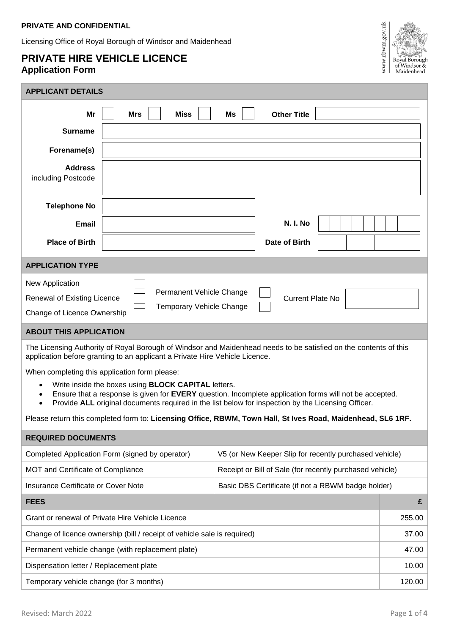Licensing Office of Royal Borough of Windsor and Maidenhead

## **PRIVATE HIRE VEHICLE LICENCE Application Form**



| <b>APPLICANT DETAILS</b>                                                                                                                                                                                                                                                                                          |  |                                                          |                                                    |       |  |  |  |
|-------------------------------------------------------------------------------------------------------------------------------------------------------------------------------------------------------------------------------------------------------------------------------------------------------------------|--|----------------------------------------------------------|----------------------------------------------------|-------|--|--|--|
| Mr<br><b>Mrs</b><br><b>Miss</b><br>Ms<br><b>Other Title</b>                                                                                                                                                                                                                                                       |  |                                                          |                                                    |       |  |  |  |
| <b>Surname</b>                                                                                                                                                                                                                                                                                                    |  |                                                          |                                                    |       |  |  |  |
| Forename(s)                                                                                                                                                                                                                                                                                                       |  |                                                          |                                                    |       |  |  |  |
| <b>Address</b><br>including Postcode                                                                                                                                                                                                                                                                              |  |                                                          |                                                    |       |  |  |  |
| <b>Telephone No</b>                                                                                                                                                                                                                                                                                               |  |                                                          |                                                    |       |  |  |  |
| Email                                                                                                                                                                                                                                                                                                             |  |                                                          | <b>N. I. No</b>                                    |       |  |  |  |
| <b>Place of Birth</b>                                                                                                                                                                                                                                                                                             |  |                                                          | Date of Birth                                      |       |  |  |  |
| <b>APPLICATION TYPE</b>                                                                                                                                                                                                                                                                                           |  |                                                          |                                                    |       |  |  |  |
| New Application<br>Permanent Vehicle Change<br>Renewal of Existing Licence<br><b>Current Plate No</b><br>Temporary Vehicle Change<br>Change of Licence Ownership                                                                                                                                                  |  |                                                          |                                                    |       |  |  |  |
| <b>ABOUT THIS APPLICATION</b>                                                                                                                                                                                                                                                                                     |  |                                                          |                                                    |       |  |  |  |
| The Licensing Authority of Royal Borough of Windsor and Maidenhead needs to be satisfied on the contents of this<br>application before granting to an applicant a Private Hire Vehicle Licence.                                                                                                                   |  |                                                          |                                                    |       |  |  |  |
| When completing this application form please:                                                                                                                                                                                                                                                                     |  |                                                          |                                                    |       |  |  |  |
| Write inside the boxes using <b>BLOCK CAPITAL</b> letters.<br>$\bullet$<br>Ensure that a response is given for EVERY question. Incomplete application forms will not be accepted.<br>$\bullet$<br>Provide ALL original documents required in the list below for inspection by the Licensing Officer.<br>$\bullet$ |  |                                                          |                                                    |       |  |  |  |
| Please return this completed form to: Licensing Office, RBWM, Town Hall, St Ives Road, Maidenhead, SL6 1RF.                                                                                                                                                                                                       |  |                                                          |                                                    |       |  |  |  |
| <b>REQUIRED DOCUMENTS</b>                                                                                                                                                                                                                                                                                         |  |                                                          |                                                    |       |  |  |  |
| Completed Application Form (signed by operator)                                                                                                                                                                                                                                                                   |  | V5 (or New Keeper Slip for recently purchased vehicle)   |                                                    |       |  |  |  |
| MOT and Certificate of Compliance                                                                                                                                                                                                                                                                                 |  | Receipt or Bill of Sale (for recently purchased vehicle) |                                                    |       |  |  |  |
| <b>Insurance Certificate or Cover Note</b>                                                                                                                                                                                                                                                                        |  |                                                          | Basic DBS Certificate (if not a RBWM badge holder) |       |  |  |  |
| <b>FEES</b>                                                                                                                                                                                                                                                                                                       |  |                                                          |                                                    | £     |  |  |  |
| Grant or renewal of Private Hire Vehicle Licence                                                                                                                                                                                                                                                                  |  |                                                          |                                                    |       |  |  |  |
| Change of licence ownership (bill / receipt of vehicle sale is required)                                                                                                                                                                                                                                          |  |                                                          |                                                    | 37.00 |  |  |  |

Dispensation letter / Replacement plate 10.00

Temporary vehicle change (for 3 months) 120.00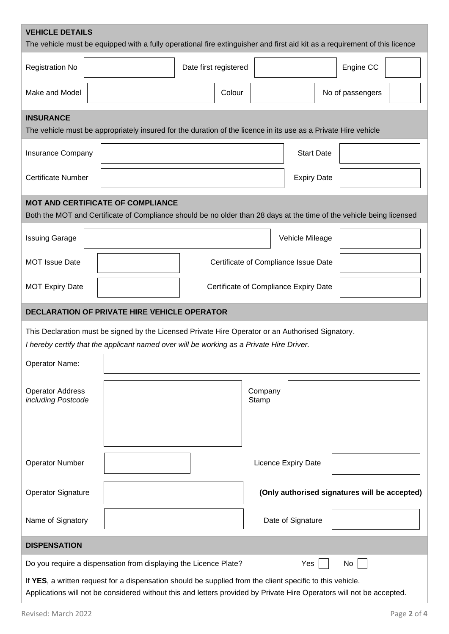| <b>VEHICLE DETAILS</b><br>The vehicle must be equipped with a fully operational fire extinguisher and first aid kit as a requirement of this licence                                                                               |  |                       |                  |                                       |                                               |  |  |
|------------------------------------------------------------------------------------------------------------------------------------------------------------------------------------------------------------------------------------|--|-----------------------|------------------|---------------------------------------|-----------------------------------------------|--|--|
| <b>Registration No</b>                                                                                                                                                                                                             |  | Date first registered |                  |                                       | Engine CC                                     |  |  |
| Make and Model                                                                                                                                                                                                                     |  |                       | Colour           |                                       | No of passengers                              |  |  |
| <b>INSURANCE</b><br>The vehicle must be appropriately insured for the duration of the licence in its use as a Private Hire vehicle                                                                                                 |  |                       |                  |                                       |                                               |  |  |
| Insurance Company                                                                                                                                                                                                                  |  |                       |                  | <b>Start Date</b>                     |                                               |  |  |
| <b>Certificate Number</b>                                                                                                                                                                                                          |  |                       |                  | <b>Expiry Date</b>                    |                                               |  |  |
| <b>MOT AND CERTIFICATE OF COMPLIANCE</b><br>Both the MOT and Certificate of Compliance should be no older than 28 days at the time of the vehicle being licensed                                                                   |  |                       |                  |                                       |                                               |  |  |
| <b>Issuing Garage</b>                                                                                                                                                                                                              |  |                       |                  | Vehicle Mileage                       |                                               |  |  |
| <b>MOT Issue Date</b>                                                                                                                                                                                                              |  |                       |                  | Certificate of Compliance Issue Date  |                                               |  |  |
| <b>MOT Expiry Date</b>                                                                                                                                                                                                             |  |                       |                  | Certificate of Compliance Expiry Date |                                               |  |  |
| DECLARATION OF PRIVATE HIRE VEHICLE OPERATOR                                                                                                                                                                                       |  |                       |                  |                                       |                                               |  |  |
| This Declaration must be signed by the Licensed Private Hire Operator or an Authorised Signatory.<br>I hereby certify that the applicant named over will be working as a Private Hire Driver.                                      |  |                       |                  |                                       |                                               |  |  |
| Operator Name:                                                                                                                                                                                                                     |  |                       |                  |                                       |                                               |  |  |
| <b>Operator Address</b><br>including Postcode                                                                                                                                                                                      |  |                       | Company<br>Stamp |                                       |                                               |  |  |
|                                                                                                                                                                                                                                    |  |                       |                  |                                       |                                               |  |  |
| <b>Operator Number</b>                                                                                                                                                                                                             |  |                       |                  | Licence Expiry Date                   |                                               |  |  |
| <b>Operator Signature</b>                                                                                                                                                                                                          |  |                       |                  |                                       | (Only authorised signatures will be accepted) |  |  |
| Name of Signatory                                                                                                                                                                                                                  |  |                       |                  | Date of Signature                     |                                               |  |  |
| <b>DISPENSATION</b>                                                                                                                                                                                                                |  |                       |                  |                                       |                                               |  |  |
| Do you require a dispensation from displaying the Licence Plate?<br>Yes<br>No                                                                                                                                                      |  |                       |                  |                                       |                                               |  |  |
| If YES, a written request for a dispensation should be supplied from the client specific to this vehicle.<br>Applications will not be considered without this and letters provided by Private Hire Operators will not be accepted. |  |                       |                  |                                       |                                               |  |  |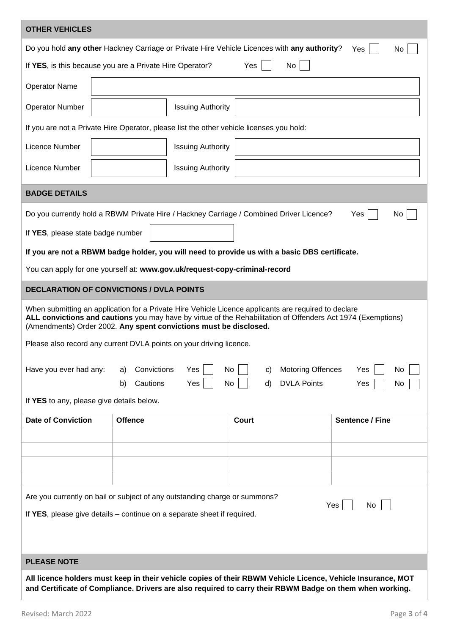| <b>OTHER VEHICLES</b>                                                                                                                                                                                                                                                                     |                                                                                               |                                                            |                        |  |  |  |
|-------------------------------------------------------------------------------------------------------------------------------------------------------------------------------------------------------------------------------------------------------------------------------------------|-----------------------------------------------------------------------------------------------|------------------------------------------------------------|------------------------|--|--|--|
| Do you hold any other Hackney Carriage or Private Hire Vehicle Licences with any authority?<br>Yes<br>No.                                                                                                                                                                                 |                                                                                               |                                                            |                        |  |  |  |
| Yes<br>No<br>If YES, is this because you are a Private Hire Operator?                                                                                                                                                                                                                     |                                                                                               |                                                            |                        |  |  |  |
| <b>Operator Name</b>                                                                                                                                                                                                                                                                      |                                                                                               |                                                            |                        |  |  |  |
| <b>Operator Number</b>                                                                                                                                                                                                                                                                    | <b>Issuing Authority</b>                                                                      |                                                            |                        |  |  |  |
|                                                                                                                                                                                                                                                                                           | If you are not a Private Hire Operator, please list the other vehicle licenses you hold:      |                                                            |                        |  |  |  |
| Licence Number                                                                                                                                                                                                                                                                            | <b>Issuing Authority</b>                                                                      |                                                            |                        |  |  |  |
| Licence Number                                                                                                                                                                                                                                                                            | <b>Issuing Authority</b>                                                                      |                                                            |                        |  |  |  |
| <b>BADGE DETAILS</b>                                                                                                                                                                                                                                                                      |                                                                                               |                                                            |                        |  |  |  |
|                                                                                                                                                                                                                                                                                           | Do you currently hold a RBWM Private Hire / Hackney Carriage / Combined Driver Licence?       |                                                            | Yes<br>No.             |  |  |  |
| If YES, please state badge number                                                                                                                                                                                                                                                         |                                                                                               |                                                            |                        |  |  |  |
|                                                                                                                                                                                                                                                                                           | If you are not a RBWM badge holder, you will need to provide us with a basic DBS certificate. |                                                            |                        |  |  |  |
| You can apply for one yourself at: www.gov.uk/request-copy-criminal-record                                                                                                                                                                                                                |                                                                                               |                                                            |                        |  |  |  |
|                                                                                                                                                                                                                                                                                           | <b>DECLARATION OF CONVICTIONS / DVLA POINTS</b>                                               |                                                            |                        |  |  |  |
| When submitting an application for a Private Hire Vehicle Licence applicants are required to declare<br>ALL convictions and cautions you may have by virtue of the Rehabilitation of Offenders Act 1974 (Exemptions)<br>(Amendments) Order 2002. Any spent convictions must be disclosed. |                                                                                               |                                                            |                        |  |  |  |
| Please also record any current DVLA points on your driving licence.                                                                                                                                                                                                                       |                                                                                               |                                                            |                        |  |  |  |
| Have you ever had any:                                                                                                                                                                                                                                                                    | Convictions<br>Yes<br>No<br>a)<br>Cautions<br>Yes<br>No<br>b)                                 | <b>Motoring Offences</b><br>C)<br><b>DVLA Points</b><br>d) | Yes<br>No<br>Yes<br>No |  |  |  |
| If YES to any, please give details below.                                                                                                                                                                                                                                                 |                                                                                               |                                                            |                        |  |  |  |
| <b>Date of Conviction</b>                                                                                                                                                                                                                                                                 | <b>Offence</b>                                                                                | <b>Court</b>                                               | Sentence / Fine        |  |  |  |
|                                                                                                                                                                                                                                                                                           |                                                                                               |                                                            |                        |  |  |  |
|                                                                                                                                                                                                                                                                                           |                                                                                               |                                                            |                        |  |  |  |
|                                                                                                                                                                                                                                                                                           |                                                                                               |                                                            |                        |  |  |  |
|                                                                                                                                                                                                                                                                                           | Are you currently on bail or subject of any outstanding charge or summons?                    |                                                            |                        |  |  |  |
| Yes<br>No<br>If YES, please give details – continue on a separate sheet if required.                                                                                                                                                                                                      |                                                                                               |                                                            |                        |  |  |  |
|                                                                                                                                                                                                                                                                                           |                                                                                               |                                                            |                        |  |  |  |
|                                                                                                                                                                                                                                                                                           |                                                                                               |                                                            |                        |  |  |  |
| <b>PLEASE NOTE</b>                                                                                                                                                                                                                                                                        |                                                                                               |                                                            |                        |  |  |  |
| All licence holders must keep in their vehicle copies of their RBWM Vehicle Licence, Vehicle Insurance, MOT<br>and Certificate of Compliance. Drivers are also required to carry their RBWM Badge on them when working.                                                                   |                                                                                               |                                                            |                        |  |  |  |